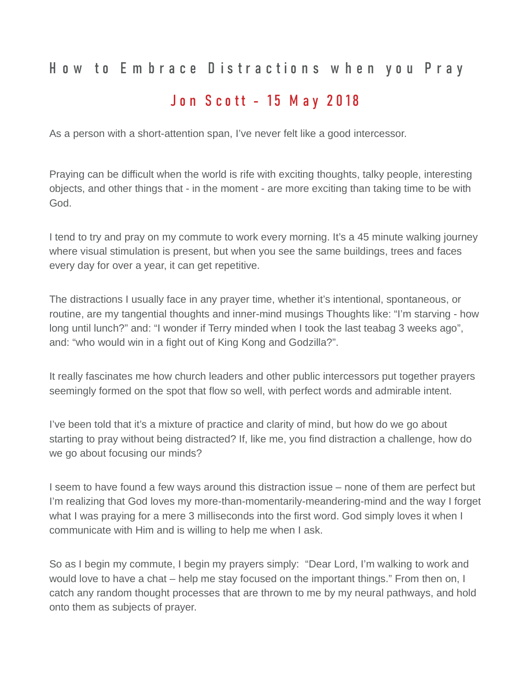## How to Embrace Distractions when you Pray

## Jon Scott - 15 May 2018

As a person with a short-attention span, I've never felt like a good intercessor.

Praying can be difficult when the world is rife with exciting thoughts, talky people, interesting objects, and other things that - in the moment - are more exciting than taking time to be with God.

I tend to try and pray on my commute to work every morning. It's a 45 minute walking journey where visual stimulation is present, but when you see the same buildings, trees and faces every day for over a year, it can get repetitive.

The distractions I usually face in any prayer time, whether it's intentional, spontaneous, or routine, are my tangential thoughts and inner-mind musings Thoughts like: "I'm starving - how long until lunch?" and: "I wonder if Terry minded when I took the last teabag 3 weeks ago", and: "who would win in a fight out of King Kong and Godzilla?".

It really fascinates me how church leaders and other public intercessors put together prayers seemingly formed on the spot that flow so well, with perfect words and admirable intent.

I've been told that it's a mixture of practice and clarity of mind, but how do we go about starting to pray without being distracted? If, like me, you find distraction a challenge, how do we go about focusing our minds?

I seem to have found a few ways around this distraction issue – none of them are perfect but I'm realizing that God loves my more-than-momentarily-meandering-mind and the way I forget what I was praying for a mere 3 milliseconds into the first word. God simply loves it when I communicate with Him and is willing to help me when I ask.

So as I begin my commute, I begin my prayers simply: "Dear Lord, I'm walking to work and would love to have a chat – help me stay focused on the important things." From then on, I catch any random thought processes that are thrown to me by my neural pathways, and hold onto them as subjects of prayer.